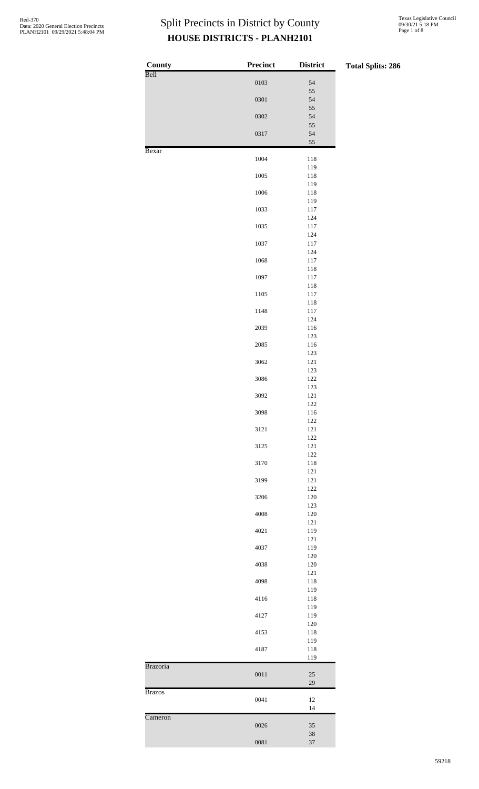| <b>County</b> | Precinct | <b>District</b>    | <b>Total Splits: 286</b> |
|---------------|----------|--------------------|--------------------------|
| Bell          | 0103     | 54                 |                          |
|               | 0301     | 55<br>54           |                          |
|               |          | 55                 |                          |
|               | 0302     | 54<br>55           |                          |
|               | 0317     | 54<br>55           |                          |
| Bexar         |          |                    |                          |
|               | 1004     | 118<br>119         |                          |
|               | 1005     | 118<br>119         |                          |
|               | 1006     | 118                |                          |
|               | 1033     | 119<br>$117\,$     |                          |
|               | 1035     | $124\,$<br>$117\,$ |                          |
|               |          | 124                |                          |
|               | 1037     | $117\,$<br>$124\,$ |                          |
|               | 1068     | $117\,$<br>118     |                          |
|               | 1097     | $117\,$            |                          |
|               | 1105     | 118<br>$117\,$     |                          |
|               |          | 118                |                          |
|               | 1148     | $117\,$<br>124     |                          |
|               | 2039     | 116<br>123         |                          |
|               | 2085     | 116                |                          |
|               | 3062     | 123<br>121         |                          |
|               |          | 123<br>122         |                          |
|               | 3086     | 123                |                          |
|               | 3092     | 121<br>122         |                          |
|               | 3098     | 116                |                          |
|               | 3121     | 122<br>$121\,$     |                          |
|               | 3125     | 122<br>$121\,$     |                          |
|               |          | $122\,$            |                          |
|               | 3170     | 118<br>121         |                          |
|               | 3199     | 121<br>$122\,$     |                          |
|               | 3206     | $120\,$            |                          |
|               | 4008     | 123<br>$120\,$     |                          |
|               | 4021     | $121\,$<br>119     |                          |
|               |          | $121\,$            |                          |
|               | 4037     | 119<br>120         |                          |
|               | 4038     | $120\,$            |                          |
|               | 4098     | $121\,$<br>118     |                          |
|               | 4116     | 119<br>118         |                          |
|               |          | 119                |                          |
|               | 4127     | 119<br>$120\,$     |                          |
|               | 4153     | 118<br>119         |                          |
|               | 4187     | 118                |                          |
| Brazoria      |          | 119                |                          |
|               | 0011     | $25\,$<br>29       |                          |
| <b>Brazos</b> |          |                    |                          |
|               | 0041     | $12\,$<br>14       |                          |
| Cameron       | 0026     | $35\,$             |                          |
|               | 0081     | $38\,$<br>37       |                          |
|               |          |                    |                          |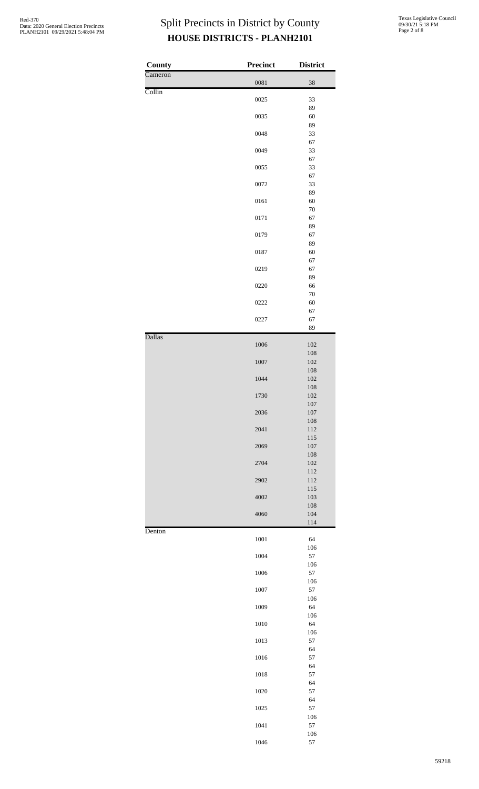| <b>County</b> | <b>Precinct</b> | <b>District</b> |
|---------------|-----------------|-----------------|
| Cameron       | 0081            | 38              |
| Collin        | 0025            | 33              |
|               |                 | 89              |
|               | 0035            | 60              |
|               | 0048            | 89<br>33        |
|               |                 | 67              |
|               | 0049            | 33              |
|               | 0055            | 67<br>33        |
|               |                 | 67              |
|               | 0072            | 33              |
|               | 0161            | 89<br>60        |
|               |                 | $70\,$          |
|               | 0171            | 67              |
|               | 0179            | 89<br>67        |
|               |                 | 89              |
|               | 0187            | 60              |
|               |                 | 67              |
|               | 0219            | 67<br>89        |
|               | 0220            | 66              |
|               |                 | $70\,$          |
|               | 0222            | 60<br>67        |
|               | 0227            | 67              |
|               |                 | 89              |
| <b>Dallas</b> | 1006            | 102             |
|               |                 | 108             |
|               | 1007            | 102             |
|               |                 | 108             |
|               | 1044            | 102<br>108      |
|               | 1730            | 102             |
|               |                 | 107             |
|               | 2036            | $107\,$<br>108  |
|               | 2041            | 112             |
|               |                 | 115             |
|               | 2069            | $107\,$<br>108  |
|               | 2704            | 102             |
|               |                 | 112             |
|               | 2902            | 112             |
|               | 4002            | 115<br>103      |
|               |                 | 108             |
|               | 4060            | 104             |
| Denton        |                 | 114             |
|               | 1001            | 64              |
|               |                 | 106             |
|               | 1004            | 57<br>106       |
|               | 1006            | 57              |
|               |                 | 106             |
|               | 1007            | 57<br>106       |
|               | 1009            | 64              |
|               |                 | 106             |
|               | 1010            | 64              |
|               | 1013            | 106<br>57       |
|               |                 | 64              |
|               | 1016            | 57              |
|               | 1018            | 64<br>57        |
|               |                 | 64              |
|               | 1020            | 57              |
|               |                 | 64              |
|               | 1025            | 57<br>106       |
|               | 1041            | 57              |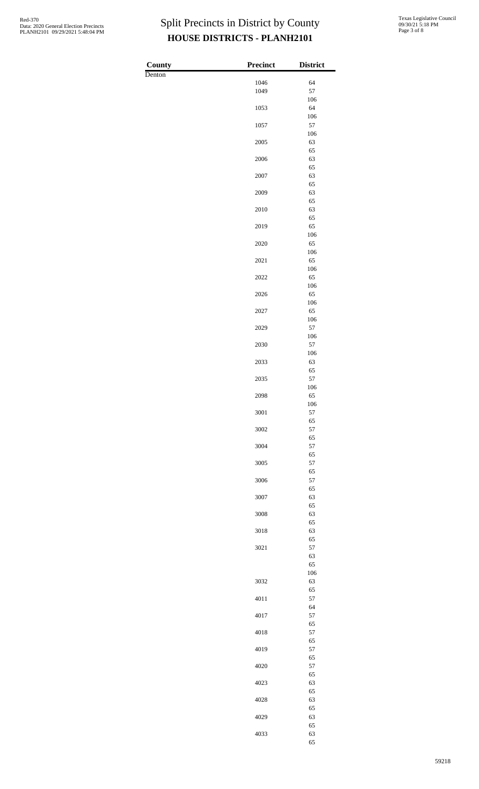$County$ Denton

| <b>Precinct</b> | <b>District</b> |
|-----------------|-----------------|
| 1046            | 64              |
| 1049            | 57              |
|                 | 106             |
| 1053            | 64<br>106       |
| 1057            | 57              |
|                 | 106             |
| 2005            | 63<br>65        |
| 2006            | 63              |
|                 | 65              |
| 2007            | 63<br>65        |
| 2009            | 63              |
|                 | 65              |
| 2010            | 63<br>65        |
| 2019            | 65              |
|                 | 106             |
| 2020            | 65<br>106       |
| 2021            | 65              |
|                 | 106             |
| 2022            | 65<br>106       |
| 2026            | 65              |
|                 | 106             |
| 2027            | 65<br>106       |
| 2029            | 57              |
|                 | 106             |
| 2030            | 57<br>106       |
| 2033            | 63              |
|                 | 65              |
| 2035            | 57<br>106       |
| 2098            | 65              |
|                 | 106             |
| 3001            | 57<br>65        |
| 3002            | 57              |
|                 | 65              |
| 3004            | 57<br>65        |
| 3005            | 57              |
|                 | 65              |
| 3006            | 57<br>65        |
| 3007            | 63              |
|                 | 65              |
| 3008            | 63              |
| 3018            | 65<br>63        |
|                 | 65              |
| 3021            | 57<br>63        |
|                 | 65              |
|                 | 106             |
| 3032            | 63<br>65        |
| 4011            | 57              |
|                 | 64              |
| 4017            | 57              |
| 4018            | 65<br>57        |
|                 | 65              |
| 4019            | 57              |
| 4020            | 65<br>57        |
|                 | 65              |
| 4023            | 63              |
| 4028            | 65<br>63        |
|                 | 65              |
| 4029            | 63              |
| 4033            | 65<br>63        |
|                 | 65              |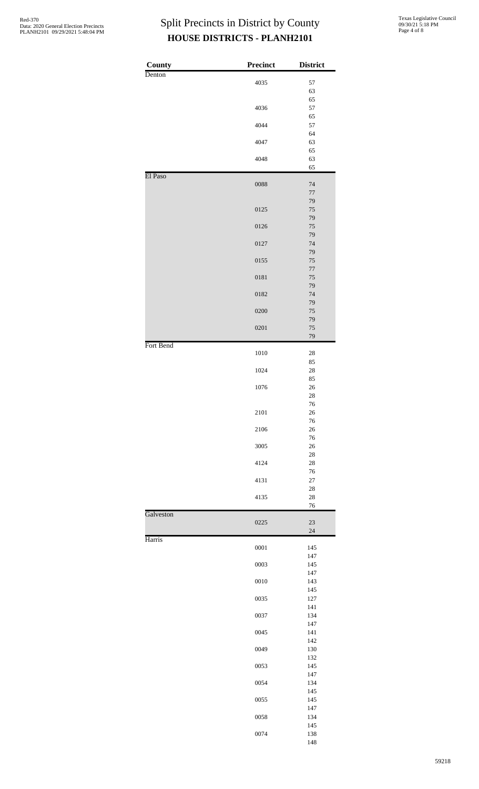| <b>County</b> | Precinct | <b>District</b>  |
|---------------|----------|------------------|
| Denton        |          |                  |
|               | 4035     | 57<br>63         |
|               |          | 65               |
|               | 4036     | 57               |
|               |          | 65               |
|               | 4044     | 57<br>64         |
|               | 4047     | 63               |
|               |          | 65               |
|               | 4048     | 63<br>65         |
| El Paso       |          |                  |
|               | 0088     | 74<br>$77\,$     |
|               |          | 79               |
|               | 0125     | $75\,$           |
|               | 0126     | 79<br>$75\,$     |
|               |          | 79               |
|               | 0127     | 74               |
|               |          | 79               |
|               | 0155     | $75\,$<br>$77\,$ |
|               | 0181     | $75\,$           |
|               |          | 79               |
|               | 0182     | 74               |
|               | 0200     | 79<br>75         |
|               |          | 79               |
|               | 0201     | 75               |
| Fort Bend     |          | 79               |
|               | 1010     | 28               |
|               | 1024     | 85<br>28         |
|               |          | 85               |
|               | 1076     | 26               |
|               |          | 28               |
|               | 2101     | 76<br>$26\,$     |
|               |          | 76               |
|               | 2106     | $26\,$           |
|               | 3005     | 76<br>$26\,$     |
|               |          | 28               |
|               | 4124     | 28               |
|               |          | 76               |
|               | 4131     | $27\,$<br>28     |
|               | 4135     | $28\,$           |
|               |          | 76               |
| Galveston     | 0225     | 23<br>$24\,$     |
| Harris        |          |                  |
|               | 0001     | 145              |
|               | 0003     | 147<br>145       |
|               |          | 147              |
|               | 0010     | 143              |
|               | 0035     | 145<br>127       |
|               |          | 141              |
|               | 0037     | 134              |
|               |          | 147              |
|               | 0045     | 141<br>142       |
|               | 0049     | 130              |
|               |          | 132              |
|               | 0053     | 145<br>147       |
|               | 0054     | 134              |
|               |          | 145              |
|               | 0055     | 145              |
|               | 0058     | 147<br>134       |
|               |          | 145              |
|               | 0074     | 138              |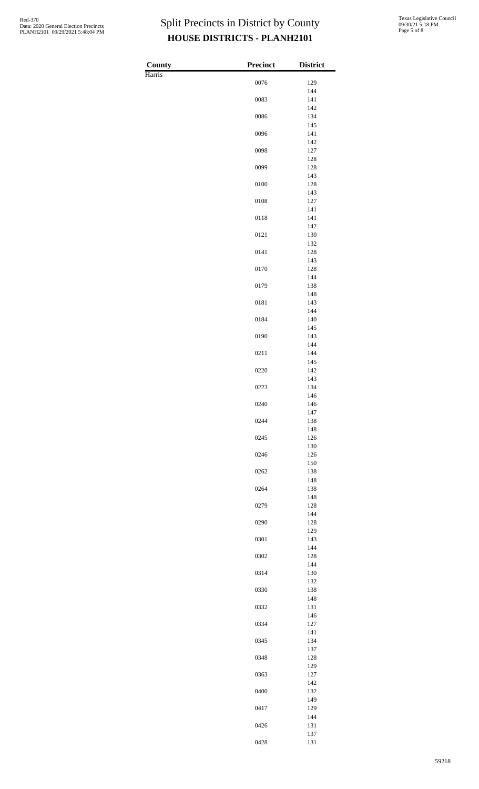$County$ Harris

| Precinct | <b>District</b> |
|----------|-----------------|
| 0076     | 129             |
|          | 144             |
| 0083     | 141<br>142      |
| 0086     | 134             |
| 0096     | 145<br>141      |
| 0098     | 142<br>127      |
|          | 128             |
| 0099     | 128<br>143      |
| 0100     | 128             |
| 0108     | 143<br>127      |
| 0118     | 141<br>141      |
|          | 142             |
| 0121     | 130<br>132      |
| 0141     | 128<br>143      |
| 0170     | 128             |
| 0179     | 144<br>138      |
|          | 148             |
| 0181     | 143<br>144      |
| 0184     | 140<br>145      |
| 0190     | 143             |
| 0211     | 144<br>144      |
|          | 145             |
| 0220     | 142<br>143      |
| 0223     | 134<br>146      |
| 0240     | 146             |
| 0244     | 147<br>138      |
| 0245     | 148             |
|          | 126<br>130      |
| 0246     | 126<br>150      |
| 0262     | 138             |
| 0264     | 148<br>138      |
| 0279     | 148             |
|          | 128<br>144      |
| 0290     | 128<br>129      |
| 0301     | 143             |
| 0302     | 144<br>128      |
| 0314     | 144<br>130      |
|          | 132             |
| 0330     | 138<br>148      |
| 0332     | 131             |
| 0334     | 146<br>127      |
| 0345     | 141<br>134      |
|          | 137             |
| 0348     | 128<br>129      |
| 0363     | 127             |
| 0400     | 142<br>132      |
| 0417     | 149<br>129      |
|          | 144             |
| 0426     | 131<br>137      |
| 0428     | 131             |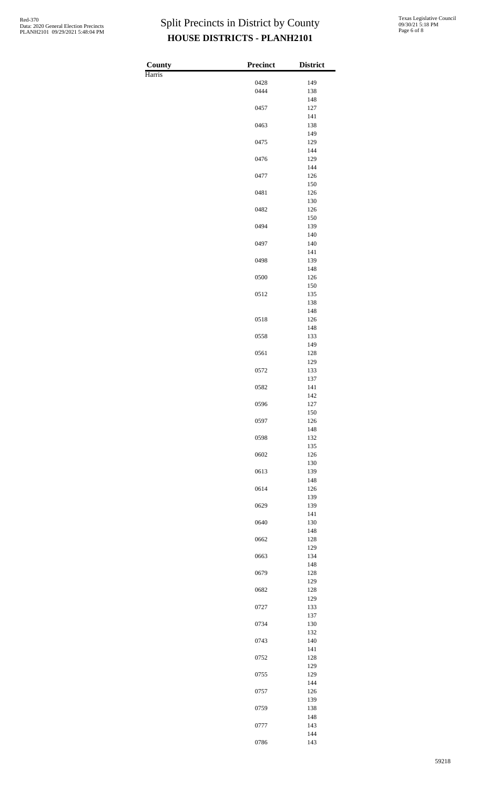$County$ Harris

| Precinct     | <b>District</b> |
|--------------|-----------------|
|              | 149             |
| 0428<br>0444 | 138             |
|              | 148             |
| 0457         | 127             |
|              | 141             |
| 0463         | 138<br>149      |
| 0475         | 129             |
|              | 144             |
| 0476         | 129             |
|              | 144             |
| 0477         | 126<br>150      |
| 0481         | 126             |
|              | 130             |
| 0482         | 126             |
| 0494         | 150<br>139      |
|              | 140             |
| 0497         | 140             |
|              | 141             |
| 0498         | 139             |
| 0500         | 148<br>126      |
|              | 150             |
| 0512         | 135             |
|              | 138             |
|              | 148             |
| 0518         | 126<br>148      |
| 0558         | 133             |
|              | 149             |
| 0561         | 128             |
|              | 129             |
| 0572         | 133<br>137      |
| 0582         | 141             |
|              | 142             |
| 0596         | 127             |
|              | 150             |
| 0597         | 126<br>148      |
| 0598         | 132             |
|              | 135             |
| 0602         | 126             |
|              | 130             |
| 0613         | 139<br>148      |
| 0614         | 126             |
|              | 139             |
| 0629         | 139             |
|              | 141             |
| 0640         | 130<br>148      |
| 0662         | 128             |
|              | 129             |
| 0663         | 134             |
|              | 148             |
| 0679         | 128<br>129      |
| 0682         | 128             |
|              | 129             |
| 0727         | 133             |
|              | 137             |
| 0734         | 130<br>132      |
| 0743         | 140             |
|              | 141             |
| 0752         | 128             |
|              | 129             |
| 0755         | 129<br>144      |
| 0757         | 126             |
|              | 139             |
| 0759         | 138             |
|              | 148             |
| 0777         | 143<br>144      |
| 0786         | 143             |
|              |                 |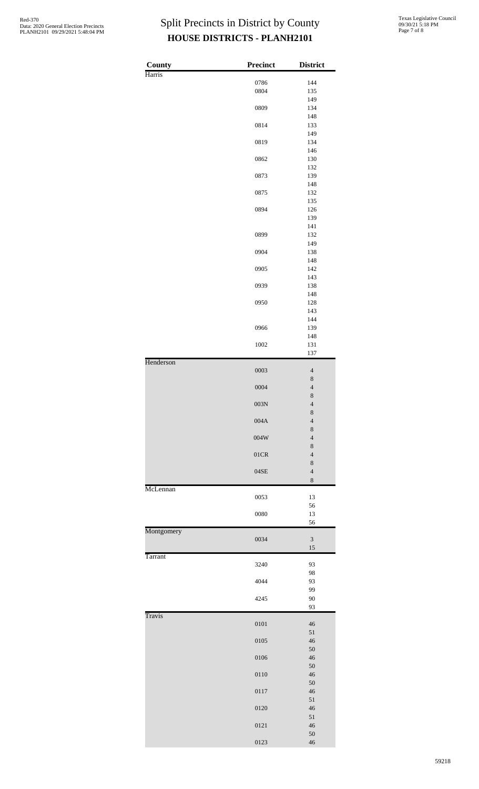| County     | <b>Precinct</b> | <b>District</b>               |
|------------|-----------------|-------------------------------|
| Harris     | 0786            | 144                           |
|            | 0804            | 135                           |
|            |                 | 149                           |
|            | 0809            | 134                           |
|            |                 | 148                           |
|            | 0814            | 133<br>149                    |
|            | 0819            | 134                           |
|            |                 | 146                           |
|            | 0862            | 130                           |
|            |                 | 132                           |
|            | 0873            | 139<br>148                    |
|            | 0875            | 132                           |
|            |                 | 135                           |
|            | 0894            | 126                           |
|            |                 | 139                           |
|            | 0899            | 141<br>132                    |
|            |                 | 149                           |
|            | 0904            | 138                           |
|            |                 | 148                           |
|            | 0905            | 142                           |
|            | 0939            | 143<br>138                    |
|            |                 | 148                           |
|            | 0950            | 128                           |
|            |                 | 143                           |
|            |                 | 144                           |
|            | 0966            | 139<br>148                    |
|            | 1002            | 131                           |
|            |                 | 137                           |
| Henderson  | 0003            | $\overline{4}$                |
|            |                 | $\,$ $\,$                     |
|            | 0004            | $\overline{4}$                |
|            |                 | 8                             |
|            | 003N            | $\overline{\mathcal{L}}$      |
|            | 004A            | 8<br>$\overline{4}$           |
|            |                 | 8                             |
|            | $004\rm{W}$     | $\overline{4}$                |
|            |                 | 8                             |
|            | 01CR            | $\overline{4}$                |
|            | 04SE            | $\,$ 8 $\,$<br>$\overline{4}$ |
|            |                 | 8                             |
| McLennan   |                 |                               |
|            | 0053            | 13                            |
|            |                 | 56                            |
|            | 0080            | 13<br>56                      |
| Montgomery |                 |                               |
|            | 0034            | $\ensuremath{\mathfrak{Z}}$   |
|            |                 | $15\,$                        |
| Tarrant    | 3240            | 93                            |
|            |                 | 98                            |
|            | 4044            | 93                            |
|            |                 | 99                            |
|            | 4245            | 90                            |
| Travis     |                 | 93                            |
|            | 0101            | 46                            |
|            |                 | $51\,$                        |
|            | 0105            | 46                            |
|            |                 | 50                            |
|            | 0106            | 46<br>50                      |
|            | 0110            | 46                            |
|            |                 | 50                            |
|            | 0117            | 46                            |
|            |                 | $51\,$                        |
|            | 0120            | 46                            |
|            | 0121            | $51\,$<br>46                  |
|            |                 | 50                            |
|            | 0123            | 46                            |